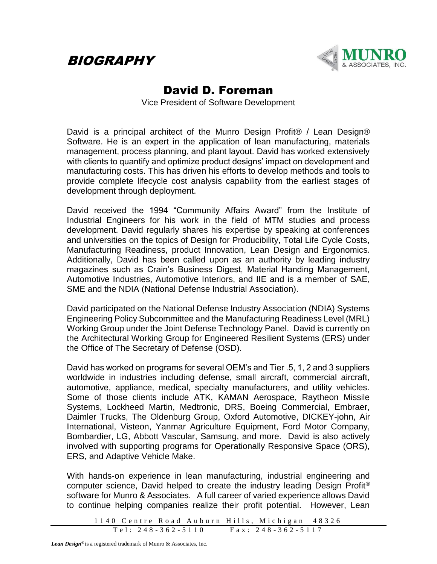## BIOGRAPHY



## David D. Foreman

Vice President of Software Development

David is a principal architect of the Munro Design Profit® / Lean Design® Software. He is an expert in the application of lean manufacturing, materials management, process planning, and plant layout. David has worked extensively with clients to quantify and optimize product designs' impact on development and manufacturing costs. This has driven his efforts to develop methods and tools to provide complete lifecycle cost analysis capability from the earliest stages of development through deployment.

David received the 1994 "Community Affairs Award" from the Institute of Industrial Engineers for his work in the field of MTM studies and process development. David regularly shares his expertise by speaking at conferences and universities on the topics of Design for Producibility, Total Life Cycle Costs, Manufacturing Readiness, product Innovation, Lean Design and Ergonomics. Additionally, David has been called upon as an authority by leading industry magazines such as Crain's Business Digest, Material Handing Management, Automotive Industries, Automotive Interiors, and IIE and is a member of SAE, SME and the NDIA (National Defense Industrial Association).

David participated on the National Defense Industry Association (NDIA) Systems Engineering Policy Subcommittee and the Manufacturing Readiness Level (MRL) Working Group under the Joint Defense Technology Panel. David is currently on the Architectural Working Group for Engineered Resilient Systems (ERS) under the Office of The Secretary of Defense (OSD).

David has worked on programs for several OEM's and Tier .5, 1, 2 and 3 suppliers worldwide in industries including defense, small aircraft, commercial aircraft, automotive, appliance, medical, specialty manufacturers, and utility vehicles. Some of those clients include ATK, KAMAN Aerospace, Raytheon Missile Systems, Lockheed Martin, Medtronic, DRS, Boeing Commercial, Embraer, Daimler Trucks, The Oldenburg Group, Oxford Automotive, DICKEY-john, Air International, Visteon, Yanmar Agriculture Equipment, Ford Motor Company, Bombardier, LG, Abbott Vascular, Samsung, and more. David is also actively involved with supporting programs for Operationally Responsive Space (ORS), ERS, and Adaptive Vehicle Make.

With hands-on experience in lean manufacturing, industrial engineering and computer science, David helped to create the industry leading Design Profit® software for Munro & Associates. A full career of varied experience allows David to continue helping companies realize their profit potential. However, Lean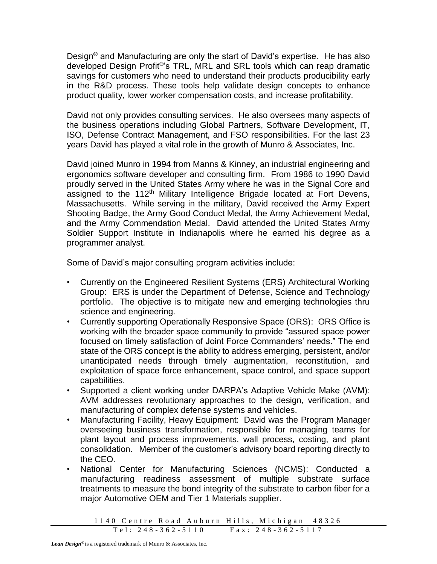Design® and Manufacturing are only the start of David's expertise. He has also developed Design Profit®'s TRL, MRL and SRL tools which can reap dramatic savings for customers who need to understand their products producibility early in the R&D process. These tools help validate design concepts to enhance product quality, lower worker compensation costs, and increase profitability.

David not only provides consulting services. He also oversees many aspects of the business operations including Global Partners, Software Development, IT, ISO, Defense Contract Management, and FSO responsibilities. For the last 23 years David has played a vital role in the growth of Munro & Associates, Inc.

David joined Munro in 1994 from Manns & Kinney, an industrial engineering and ergonomics software developer and consulting firm. From 1986 to 1990 David proudly served in the United States Army where he was in the Signal Core and assigned to the 112<sup>th</sup> Military Intelligence Brigade located at Fort Devens, Massachusetts. While serving in the military, David received the Army Expert Shooting Badge, the Army Good Conduct Medal, the Army Achievement Medal, and the Army Commendation Medal. David attended the United States Army Soldier Support Institute in Indianapolis where he earned his degree as a programmer analyst.

Some of David's major consulting program activities include:

- Currently on the Engineered Resilient Systems (ERS) Architectural Working Group: ERS is under the Department of Defense, Science and Technology portfolio. The objective is to mitigate new and emerging technologies thru science and engineering.
- Currently supporting Operationally Responsive Space (ORS): ORS Office is working with the broader space community to provide "assured space power focused on timely satisfaction of Joint Force Commanders' needs." The end state of the ORS concept is the ability to address emerging, persistent, and/or unanticipated needs through timely augmentation, reconstitution, and exploitation of space force enhancement, space control, and space support capabilities.
- Supported a client working under DARPA's Adaptive Vehicle Make (AVM): AVM addresses revolutionary approaches to the design, verification, and manufacturing of complex defense systems and vehicles.
- Manufacturing Facility, Heavy Equipment: David was the Program Manager overseeing business transformation, responsible for managing teams for plant layout and process improvements, wall process, costing, and plant consolidation. Member of the customer's advisory board reporting directly to the CEO.
- National Center for Manufacturing Sciences (NCMS): Conducted a manufacturing readiness assessment of multiple substrate surface treatments to measure the bond integrity of the substrate to carbon fiber for a major Automotive OEM and Tier 1 Materials supplier.